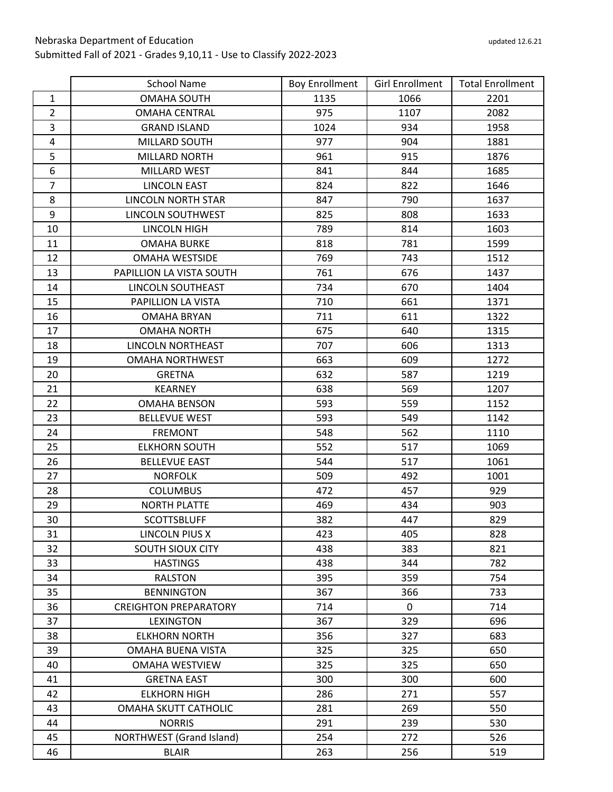|                | <b>School Name</b>              | <b>Boy Enrollment</b> | <b>Girl Enrollment</b> | <b>Total Enrollment</b> |
|----------------|---------------------------------|-----------------------|------------------------|-------------------------|
| $\mathbf{1}$   | <b>OMAHA SOUTH</b>              | 1135                  | 1066                   | 2201                    |
| $\overline{2}$ | <b>OMAHA CENTRAL</b>            | 975                   | 1107                   | 2082                    |
| 3              | <b>GRAND ISLAND</b>             | 1024                  | 934                    | 1958                    |
| $\overline{4}$ | MILLARD SOUTH                   | 977                   | 904                    | 1881                    |
| 5              | <b>MILLARD NORTH</b>            | 961                   | 915                    | 1876                    |
| 6              | <b>MILLARD WEST</b>             | 841                   | 844                    | 1685                    |
| $\overline{7}$ | <b>LINCOLN EAST</b>             | 824                   | 822                    | 1646                    |
| 8              | <b>LINCOLN NORTH STAR</b>       | 847                   | 790                    | 1637                    |
| 9              | LINCOLN SOUTHWEST               | 825                   | 808                    | 1633                    |
| 10             | LINCOLN HIGH                    | 789                   | 814                    | 1603                    |
| 11             | <b>OMAHA BURKE</b>              | 818                   | 781                    | 1599                    |
| 12             | <b>OMAHA WESTSIDE</b>           | 769                   | 743                    | 1512                    |
| 13             | PAPILLION LA VISTA SOUTH        | 761                   | 676                    | 1437                    |
| 14             | <b>LINCOLN SOUTHEAST</b>        | 734                   | 670                    | 1404                    |
| 15             | PAPILLION LA VISTA              | 710                   | 661                    | 1371                    |
| 16             | <b>OMAHA BRYAN</b>              | 711                   | 611                    | 1322                    |
| 17             | <b>OMAHA NORTH</b>              | 675                   | 640                    | 1315                    |
| 18             | LINCOLN NORTHEAST               | 707                   | 606                    | 1313                    |
| 19             | <b>OMAHA NORTHWEST</b>          | 663                   | 609                    | 1272                    |
| 20             | <b>GRETNA</b>                   | 632                   | 587                    | 1219                    |
| 21             | <b>KEARNEY</b>                  | 638                   | 569                    | 1207                    |
| 22             | <b>OMAHA BENSON</b>             | 593                   | 559                    | 1152                    |
| 23             | <b>BELLEVUE WEST</b>            | 593                   | 549                    | 1142                    |
| 24             | <b>FREMONT</b>                  | 548                   | 562                    | 1110                    |
| 25             | <b>ELKHORN SOUTH</b>            | 552                   | 517                    | 1069                    |
| 26             | <b>BELLEVUE EAST</b>            | 544                   | 517                    | 1061                    |
| 27             | <b>NORFOLK</b>                  | 509                   | 492                    | 1001                    |
| 28             | <b>COLUMBUS</b>                 | 472                   | 457                    | 929                     |
| 29             | <b>NORTH PLATTE</b>             | 469                   | 434                    | 903                     |
| 30             | <b>SCOTTSBLUFF</b>              | 382                   | 447                    | 829                     |
| 31             | LINCOLN PIUS X                  | 423                   | 405                    | 828                     |
| 32             | <b>SOUTH SIOUX CITY</b>         | 438                   | 383                    | 821                     |
| 33             | <b>HASTINGS</b>                 | 438                   | 344                    | 782                     |
| 34             | <b>RALSTON</b>                  | 395                   | 359                    | 754                     |
| 35             | <b>BENNINGTON</b>               | 367                   | 366                    | 733                     |
| 36             | <b>CREIGHTON PREPARATORY</b>    | 714                   | 0                      | 714                     |
| 37             | LEXINGTON                       | 367                   | 329                    | 696                     |
| 38             | <b>ELKHORN NORTH</b>            | 356                   | 327                    | 683                     |
| 39             | OMAHA BUENA VISTA               | 325                   | 325                    | 650                     |
| 40             | <b>OMAHA WESTVIEW</b>           | 325                   | 325                    | 650                     |
| 41             | <b>GRETNA EAST</b>              | 300                   | 300                    | 600                     |
| 42             | <b>ELKHORN HIGH</b>             | 286                   | 271                    | 557                     |
| 43             | OMAHA SKUTT CATHOLIC            | 281                   | 269                    | 550                     |
| 44             | <b>NORRIS</b>                   | 291                   | 239                    | 530                     |
| 45             | <b>NORTHWEST</b> (Grand Island) | 254                   | 272                    | 526                     |
| 46             | <b>BLAIR</b>                    | 263                   | 256                    | 519                     |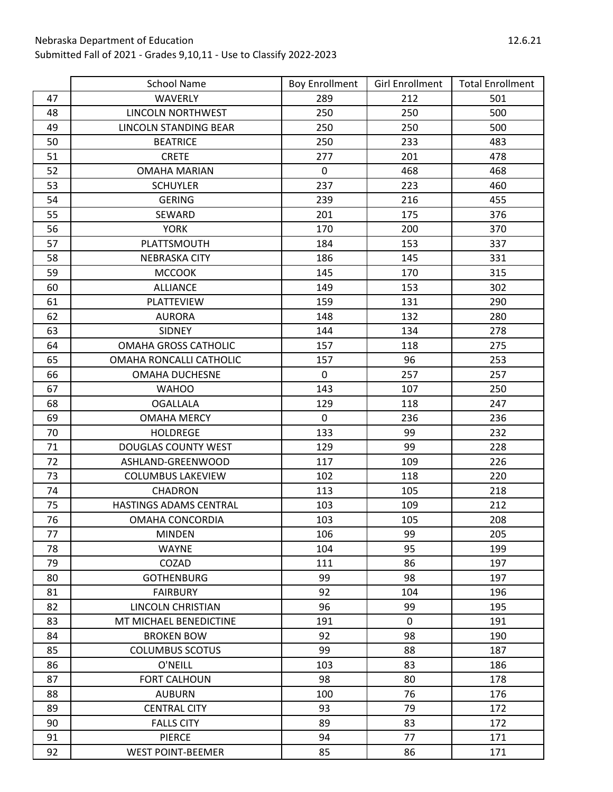|    | <b>School Name</b>         | <b>Boy Enrollment</b> | <b>Girl Enrollment</b> | <b>Total Enrollment</b> |
|----|----------------------------|-----------------------|------------------------|-------------------------|
| 47 | <b>WAVERLY</b>             | 289                   | 212                    | 501                     |
| 48 | <b>LINCOLN NORTHWEST</b>   | 250                   | 250                    | 500                     |
| 49 | LINCOLN STANDING BEAR      | 250                   | 250                    | 500                     |
| 50 | <b>BEATRICE</b>            | 250                   | 233                    | 483                     |
| 51 | <b>CRETE</b>               | 277                   | 201                    | 478                     |
| 52 | <b>OMAHA MARIAN</b>        | $\mathbf 0$           | 468                    | 468                     |
| 53 | <b>SCHUYLER</b>            | 237                   | 223                    | 460                     |
| 54 | <b>GERING</b>              | 239                   | 216                    | 455                     |
| 55 | SEWARD                     | 201                   | 175                    | 376                     |
| 56 | <b>YORK</b>                | 170                   | 200                    | 370                     |
| 57 | PLATTSMOUTH                | 184                   | 153                    | 337                     |
| 58 | <b>NEBRASKA CITY</b>       | 186                   | 145                    | 331                     |
| 59 | <b>MCCOOK</b>              | 145                   | 170                    | 315                     |
| 60 | <b>ALLIANCE</b>            | 149                   | 153                    | 302                     |
| 61 | PLATTEVIEW                 | 159                   | 131                    | 290                     |
| 62 | <b>AURORA</b>              | 148                   | 132                    | 280                     |
| 63 | <b>SIDNEY</b>              | 144                   | 134                    | 278                     |
| 64 | OMAHA GROSS CATHOLIC       | 157                   | 118                    | 275                     |
| 65 | OMAHA RONCALLI CATHOLIC    | 157                   | 96                     | 253                     |
| 66 | <b>OMAHA DUCHESNE</b>      | $\mathbf 0$           | 257                    | 257                     |
| 67 | <b>WAHOO</b>               | 143                   | 107                    | 250                     |
| 68 | <b>OGALLALA</b>            | 129                   | 118                    | 247                     |
| 69 | <b>OMAHA MERCY</b>         | $\mathbf 0$           | 236                    | 236                     |
| 70 | <b>HOLDREGE</b>            | 133                   | 99                     | 232                     |
| 71 | <b>DOUGLAS COUNTY WEST</b> | 129                   | 99                     | 228                     |
| 72 | ASHLAND-GREENWOOD          | 117                   | 109                    | 226                     |
| 73 | <b>COLUMBUS LAKEVIEW</b>   | 102                   | 118                    | 220                     |
| 74 | <b>CHADRON</b>             | 113                   | 105                    | 218                     |
| 75 | HASTINGS ADAMS CENTRAL     | 103                   | 109                    | 212                     |
| 76 | OMAHA CONCORDIA            | 103                   | 105                    | 208                     |
| 77 | <b>MINDEN</b>              | 106                   | 99                     | 205                     |
| 78 | <b>WAYNE</b>               | 104                   | 95                     | 199                     |
| 79 | COZAD                      | 111                   | 86                     | 197                     |
| 80 | <b>GOTHENBURG</b>          | 99                    | 98                     | 197                     |
| 81 | <b>FAIRBURY</b>            | 92                    | 104                    | 196                     |
| 82 | LINCOLN CHRISTIAN          | 96                    | 99                     | 195                     |
| 83 | MT MICHAEL BENEDICTINE     | 191                   | $\mathbf 0$            | 191                     |
| 84 | <b>BROKEN BOW</b>          | 92                    | 98                     | 190                     |
| 85 | <b>COLUMBUS SCOTUS</b>     | 99                    | 88                     | 187                     |
| 86 | O'NEILL                    | 103                   | 83                     | 186                     |
| 87 | <b>FORT CALHOUN</b>        | 98                    | 80                     | 178                     |
| 88 | <b>AUBURN</b>              | 100                   | 76                     | 176                     |
| 89 | <b>CENTRAL CITY</b>        | 93                    | 79                     | 172                     |
| 90 | <b>FALLS CITY</b>          | 89                    | 83                     | 172                     |
| 91 | <b>PIERCE</b>              | 94                    | 77                     | 171                     |
| 92 | <b>WEST POINT-BEEMER</b>   | 85                    | 86                     | 171                     |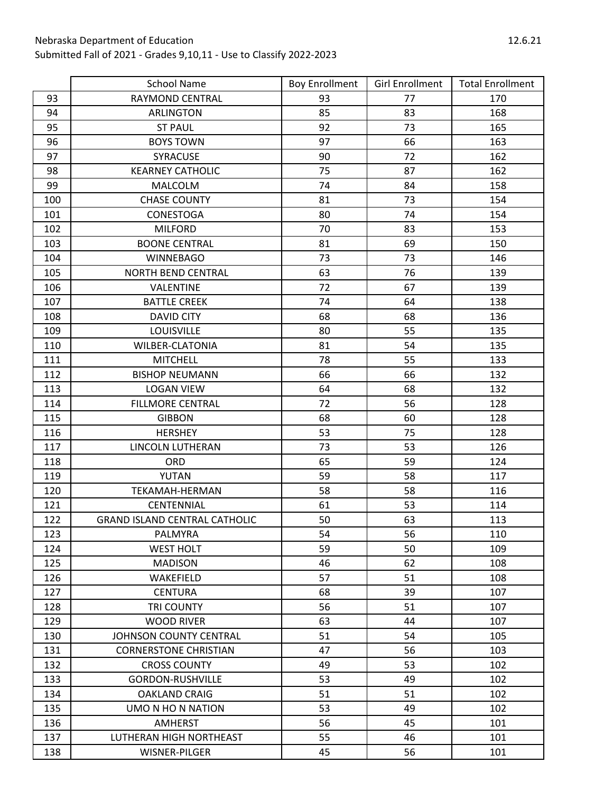|     | <b>School Name</b>                   | <b>Boy Enrollment</b> | <b>Girl Enrollment</b> | <b>Total Enrollment</b> |
|-----|--------------------------------------|-----------------------|------------------------|-------------------------|
| 93  | <b>RAYMOND CENTRAL</b>               | 93                    | 77                     | 170                     |
| 94  | <b>ARLINGTON</b>                     | 85                    | 83                     | 168                     |
| 95  | <b>ST PAUL</b>                       | 92                    | 73                     | 165                     |
| 96  | <b>BOYS TOWN</b>                     | 97                    | 66                     | 163                     |
| 97  | SYRACUSE                             | 90                    | 72                     | 162                     |
| 98  | <b>KEARNEY CATHOLIC</b>              | 75                    | 87                     | 162                     |
| 99  | <b>MALCOLM</b>                       | 74                    | 84                     | 158                     |
| 100 | <b>CHASE COUNTY</b>                  | 81                    | 73                     | 154                     |
| 101 | CONESTOGA                            | 80                    | 74                     | 154                     |
| 102 | <b>MILFORD</b>                       | 70                    | 83                     | 153                     |
| 103 | <b>BOONE CENTRAL</b>                 | 81                    | 69                     | 150                     |
| 104 | <b>WINNEBAGO</b>                     | 73                    | 73                     | 146                     |
| 105 | <b>NORTH BEND CENTRAL</b>            | 63                    | 76                     | 139                     |
| 106 | VALENTINE                            | 72                    | 67                     | 139                     |
| 107 | <b>BATTLE CREEK</b>                  | 74                    | 64                     | 138                     |
| 108 | <b>DAVID CITY</b>                    | 68                    | 68                     | 136                     |
| 109 | <b>LOUISVILLE</b>                    | 80                    | 55                     | 135                     |
| 110 | <b>WILBER-CLATONIA</b>               | 81                    | 54                     | 135                     |
| 111 | <b>MITCHELL</b>                      | 78                    | 55                     | 133                     |
| 112 | <b>BISHOP NEUMANN</b>                | 66                    | 66                     | 132                     |
| 113 | <b>LOGAN VIEW</b>                    | 64                    | 68                     | 132                     |
| 114 | <b>FILLMORE CENTRAL</b>              | 72                    | 56                     | 128                     |
| 115 | <b>GIBBON</b>                        | 68                    | 60                     | 128                     |
| 116 | <b>HERSHEY</b>                       | 53                    | 75                     | 128                     |
| 117 | LINCOLN LUTHERAN                     | 73                    | 53                     | 126                     |
| 118 | ORD                                  | 65                    | 59                     | 124                     |
| 119 | YUTAN                                | 59                    | 58                     | 117                     |
| 120 | <b>TEKAMAH-HERMAN</b>                | 58                    | 58                     | 116                     |
| 121 | CENTENNIAL                           | 61                    | 53                     | 114                     |
| 122 | <b>GRAND ISLAND CENTRAL CATHOLIC</b> | 50                    | 63                     | 113                     |
| 123 | PALMYRA                              | 54                    | 56                     | 110                     |
| 124 | <b>WEST HOLT</b>                     | 59                    | 50                     | 109                     |
| 125 | <b>MADISON</b>                       | 46                    | 62                     | 108                     |
| 126 | WAKEFIELD                            | 57                    | 51                     | 108                     |
| 127 | <b>CENTURA</b>                       | 68                    | 39                     | 107                     |
| 128 | TRI COUNTY                           | 56                    | 51                     | 107                     |
| 129 | <b>WOOD RIVER</b>                    | 63                    | 44                     | 107                     |
| 130 | JOHNSON COUNTY CENTRAL               | 51                    | 54                     | 105                     |
| 131 | <b>CORNERSTONE CHRISTIAN</b>         | 47                    | 56                     | 103                     |
| 132 | <b>CROSS COUNTY</b>                  | 49                    | 53                     | 102                     |
| 133 | <b>GORDON-RUSHVILLE</b>              | 53                    | 49                     | 102                     |
| 134 | <b>OAKLAND CRAIG</b>                 | 51                    | 51                     | 102                     |
| 135 | UMO N HO N NATION                    | 53                    | 49                     | 102                     |
| 136 | AMHERST                              | 56                    | 45                     | 101                     |
| 137 | LUTHERAN HIGH NORTHEAST              | 55                    | 46                     | 101                     |
| 138 | WISNER-PILGER                        | 45                    | 56                     | 101                     |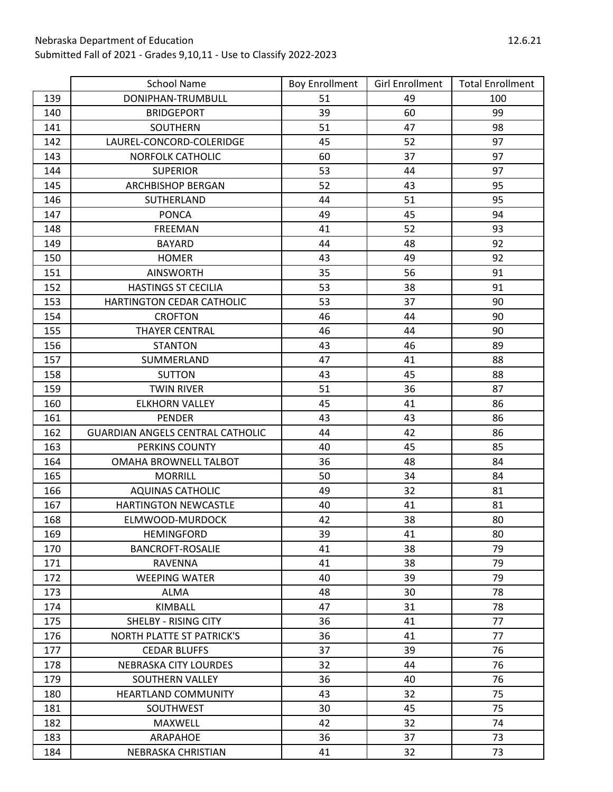|     | <b>School Name</b>                      | <b>Boy Enrollment</b> | <b>Girl Enrollment</b> | <b>Total Enrollment</b> |
|-----|-----------------------------------------|-----------------------|------------------------|-------------------------|
| 139 | DONIPHAN-TRUMBULL                       | 51                    | 49                     | 100                     |
| 140 | <b>BRIDGEPORT</b>                       | 39                    | 60                     | 99                      |
| 141 | SOUTHERN                                | 51                    | 47                     | 98                      |
| 142 | LAUREL-CONCORD-COLERIDGE                | 45                    | 52                     | 97                      |
| 143 | <b>NORFOLK CATHOLIC</b>                 | 60                    | 37                     | 97                      |
| 144 | <b>SUPERIOR</b>                         | 53                    | 44                     | 97                      |
| 145 | <b>ARCHBISHOP BERGAN</b>                | 52                    | 43                     | 95                      |
| 146 | SUTHERLAND                              | 44                    | 51                     | 95                      |
| 147 | <b>PONCA</b>                            | 49                    | 45                     | 94                      |
| 148 | FREEMAN                                 | 41                    | 52                     | 93                      |
| 149 | <b>BAYARD</b>                           | 44                    | 48                     | 92                      |
| 150 | <b>HOMER</b>                            | 43                    | 49                     | 92                      |
| 151 | <b>AINSWORTH</b>                        | 35                    | 56                     | 91                      |
| 152 | <b>HASTINGS ST CECILIA</b>              | 53                    | 38                     | 91                      |
| 153 | HARTINGTON CEDAR CATHOLIC               | 53                    | 37                     | 90                      |
| 154 | <b>CROFTON</b>                          | 46                    | 44                     | 90                      |
| 155 | <b>THAYER CENTRAL</b>                   | 46                    | 44                     | 90                      |
| 156 | <b>STANTON</b>                          | 43                    | 46                     | 89                      |
| 157 | SUMMERLAND                              | 47                    | 41                     | 88                      |
| 158 | <b>SUTTON</b>                           | 43                    | 45                     | 88                      |
| 159 | <b>TWIN RIVER</b>                       | 51                    | 36                     | 87                      |
| 160 | <b>ELKHORN VALLEY</b>                   | 45                    | 41                     | 86                      |
| 161 | <b>PENDER</b>                           | 43                    | 43                     | 86                      |
| 162 | <b>GUARDIAN ANGELS CENTRAL CATHOLIC</b> | 44                    | 42                     | 86                      |
| 163 | PERKINS COUNTY                          | 40                    | 45                     | 85                      |
| 164 | OMAHA BROWNELL TALBOT                   | 36                    | 48                     | 84                      |
| 165 | <b>MORRILL</b>                          | 50                    | 34                     | 84                      |
| 166 | AQUINAS CATHOLIC                        | 49                    | 32                     | 81                      |
| 167 | <b>HARTINGTON NEWCASTLE</b>             | 40                    | 41                     | 81                      |
| 168 | ELMWOOD-MURDOCK                         | 42                    | 38                     | 80                      |
| 169 | <b>HEMINGFORD</b>                       | 39                    | 41                     | 80                      |
| 170 | <b>BANCROFT-ROSALIE</b>                 | 41                    | 38                     | 79                      |
| 171 | <b>RAVENNA</b>                          | 41                    | 38                     | 79                      |
| 172 | <b>WEEPING WATER</b>                    | 40                    | 39                     | 79                      |
| 173 | <b>ALMA</b>                             | 48                    | 30                     | 78                      |
| 174 | KIMBALL                                 | 47                    | 31                     | 78                      |
| 175 | <b>SHELBY - RISING CITY</b>             | 36                    | 41                     | 77                      |
| 176 | <b>NORTH PLATTE ST PATRICK'S</b>        | 36                    | 41                     | 77                      |
| 177 | <b>CEDAR BLUFFS</b>                     | 37                    | 39                     | 76                      |
| 178 | <b>NEBRASKA CITY LOURDES</b>            | 32                    | 44                     | 76                      |
| 179 | SOUTHERN VALLEY                         | 36                    | 40                     | 76                      |
| 180 | <b>HEARTLAND COMMUNITY</b>              | 43                    | 32                     | 75                      |
| 181 | SOUTHWEST                               | 30                    | 45                     | 75                      |
| 182 | MAXWELL                                 | 42                    | 32                     | 74                      |
| 183 | ARAPAHOE                                | 36                    | 37                     | 73                      |
| 184 | NEBRASKA CHRISTIAN                      | 41                    | 32                     | 73                      |

 $\overline{\phantom{a}}$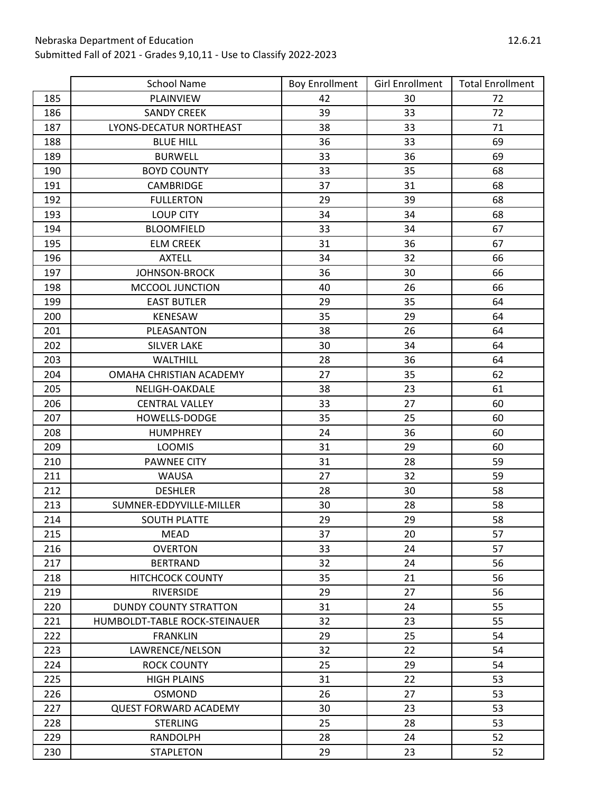|     | <b>School Name</b>            | <b>Boy Enrollment</b> | <b>Girl Enrollment</b> | <b>Total Enrollment</b> |
|-----|-------------------------------|-----------------------|------------------------|-------------------------|
| 185 | PLAINVIEW                     | 42                    | 30                     | 72                      |
| 186 | <b>SANDY CREEK</b>            | 39                    | 33                     | 72                      |
| 187 | LYONS-DECATUR NORTHEAST       | 38                    | 33                     | 71                      |
| 188 | <b>BLUE HILL</b>              | 36                    | 33                     | 69                      |
| 189 | <b>BURWELL</b>                | 33                    | 36                     | 69                      |
| 190 | <b>BOYD COUNTY</b>            | 33                    | 35                     | 68                      |
| 191 | CAMBRIDGE                     | 37                    | 31                     | 68                      |
| 192 | <b>FULLERTON</b>              | 29                    | 39                     | 68                      |
| 193 | <b>LOUP CITY</b>              | 34                    | 34                     | 68                      |
| 194 | <b>BLOOMFIELD</b>             | 33                    | 34                     | 67                      |
| 195 | <b>ELM CREEK</b>              | 31                    | 36                     | 67                      |
| 196 | <b>AXTELL</b>                 | 34                    | 32                     | 66                      |
| 197 | <b>JOHNSON-BROCK</b>          | 36                    | 30                     | 66                      |
| 198 | MCCOOL JUNCTION               | 40                    | 26                     | 66                      |
| 199 | <b>EAST BUTLER</b>            | 29                    | 35                     | 64                      |
| 200 | <b>KENESAW</b>                | 35                    | 29                     | 64                      |
| 201 | PLEASANTON                    | 38                    | 26                     | 64                      |
| 202 | <b>SILVER LAKE</b>            | 30                    | 34                     | 64                      |
| 203 | WALTHILL                      | 28                    | 36                     | 64                      |
| 204 | OMAHA CHRISTIAN ACADEMY       | 27                    | 35                     | 62                      |
| 205 | NELIGH-OAKDALE                | 38                    | 23                     | 61                      |
| 206 | <b>CENTRAL VALLEY</b>         | 33                    | 27                     | 60                      |
| 207 | HOWELLS-DODGE                 | 35                    | 25                     | 60                      |
| 208 | <b>HUMPHREY</b>               | 24                    | 36                     | 60                      |
| 209 | <b>LOOMIS</b>                 | 31                    | 29                     | 60                      |
| 210 | <b>PAWNEE CITY</b>            | 31                    | 28                     | 59                      |
| 211 | <b>WAUSA</b>                  | 27                    | 32                     | 59                      |
| 212 | <b>DESHLER</b>                | 28                    | 30                     | 58                      |
| 213 | SUMNER-EDDYVILLE-MILLER       | 30                    | 28                     | 58                      |
| 214 | <b>SOUTH PLATTE</b>           | 29                    | 29                     | 58                      |
| 215 | <b>MEAD</b>                   | 37                    | 20                     | 57                      |
| 216 | <b>OVERTON</b>                | 33                    | 24                     | 57                      |
| 217 | <b>BERTRAND</b>               | 32                    | 24                     | 56                      |
| 218 | <b>HITCHCOCK COUNTY</b>       | 35                    | 21                     | 56                      |
| 219 | <b>RIVERSIDE</b>              | 29                    | 27                     | 56                      |
| 220 | <b>DUNDY COUNTY STRATTON</b>  | 31                    | 24                     | 55                      |
| 221 | HUMBOLDT-TABLE ROCK-STEINAUER | 32                    | 23                     | 55                      |
| 222 | <b>FRANKLIN</b>               | 29                    | 25                     | 54                      |
| 223 | LAWRENCE/NELSON               | 32                    | 22                     | 54                      |
| 224 | <b>ROCK COUNTY</b>            | 25                    | 29                     | 54                      |
| 225 | <b>HIGH PLAINS</b>            | 31                    | 22                     | 53                      |
| 226 | <b>OSMOND</b>                 | 26                    | 27                     | 53                      |
| 227 | <b>QUEST FORWARD ACADEMY</b>  | 30                    | 23                     | 53                      |
| 228 | <b>STERLING</b>               | 25                    | 28                     | 53                      |
| 229 | RANDOLPH                      | 28                    | 24                     | 52                      |
| 230 | <b>STAPLETON</b>              | 29                    | 23                     | 52                      |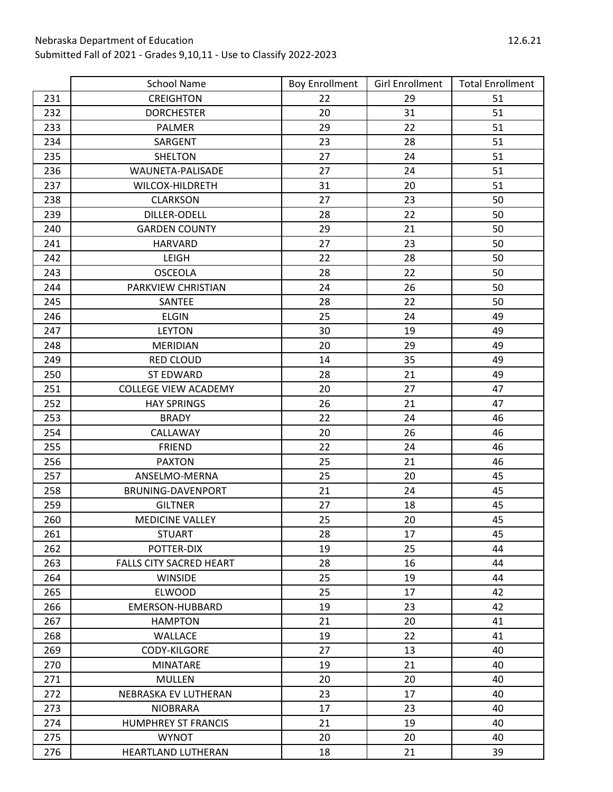|     | <b>School Name</b>             | <b>Boy Enrollment</b> | <b>Girl Enrollment</b> | <b>Total Enrollment</b> |
|-----|--------------------------------|-----------------------|------------------------|-------------------------|
| 231 | <b>CREIGHTON</b>               | 22                    | 29                     | 51                      |
| 232 | <b>DORCHESTER</b>              | 20                    | 31                     | 51                      |
| 233 | <b>PALMER</b>                  | 29                    | 22                     | 51                      |
| 234 | SARGENT                        | 23                    | 28                     | 51                      |
| 235 | <b>SHELTON</b>                 | 27                    | 24                     | 51                      |
| 236 | WAUNETA-PALISADE               | 27                    | 24                     | 51                      |
| 237 | WILCOX-HILDRETH                | 31                    | 20                     | 51                      |
| 238 | <b>CLARKSON</b>                | 27                    | 23                     | 50                      |
| 239 | DILLER-ODELL                   | 28                    | 22                     | 50                      |
| 240 | <b>GARDEN COUNTY</b>           | 29                    | 21                     | 50                      |
| 241 | <b>HARVARD</b>                 | 27                    | 23                     | 50                      |
| 242 | LEIGH                          | 22                    | 28                     | 50                      |
| 243 | <b>OSCEOLA</b>                 | 28                    | 22                     | 50                      |
| 244 | PARKVIEW CHRISTIAN             | 24                    | 26                     | 50                      |
| 245 | SANTEE                         | 28                    | 22                     | 50                      |
| 246 | <b>ELGIN</b>                   | 25                    | 24                     | 49                      |
| 247 | <b>LEYTON</b>                  | 30                    | 19                     | 49                      |
| 248 | <b>MERIDIAN</b>                | 20                    | 29                     | 49                      |
| 249 | <b>RED CLOUD</b>               | 14                    | 35                     | 49                      |
| 250 | <b>ST EDWARD</b>               | 28                    | 21                     | 49                      |
| 251 | <b>COLLEGE VIEW ACADEMY</b>    | 20                    | 27                     | 47                      |
| 252 | <b>HAY SPRINGS</b>             | 26                    | 21                     | 47                      |
| 253 | <b>BRADY</b>                   | 22                    | 24                     | 46                      |
| 254 | CALLAWAY                       | 20                    | 26                     | 46                      |
| 255 | <b>FRIEND</b>                  | 22                    | 24                     | 46                      |
| 256 | <b>PAXTON</b>                  | 25                    | 21                     | 46                      |
| 257 | ANSELMO-MERNA                  | 25                    | 20                     | 45                      |
| 258 | BRUNING-DAVENPORT              | 21                    | 24                     | 45                      |
| 259 | <b>GILTNER</b>                 | 27                    | 18                     | 45                      |
| 260 | <b>MEDICINE VALLEY</b>         | 25                    | 20                     | 45                      |
| 261 | <b>STUART</b>                  | 28                    | 17                     | 45                      |
| 262 | POTTER-DIX                     | 19                    | 25                     | 44                      |
| 263 | <b>FALLS CITY SACRED HEART</b> | 28                    | 16                     | 44                      |
| 264 | <b>WINSIDE</b>                 | 25                    | 19                     | 44                      |
| 265 | <b>ELWOOD</b>                  | 25                    | 17                     | 42                      |
| 266 | EMERSON-HUBBARD                | 19                    | 23                     | 42                      |
| 267 | <b>HAMPTON</b>                 | 21                    | 20                     | 41                      |
| 268 | <b>WALLACE</b>                 | 19                    | 22                     | 41                      |
| 269 | <b>CODY-KILGORE</b>            | 27                    | 13                     | 40                      |
| 270 | <b>MINATARE</b>                | 19                    | 21                     | 40                      |
| 271 | <b>MULLEN</b>                  | 20                    | 20                     | 40                      |
| 272 | NEBRASKA EV LUTHERAN           | 23                    | 17                     | 40                      |
| 273 | <b>NIOBRARA</b>                | 17                    | 23                     | 40                      |
| 274 | <b>HUMPHREY ST FRANCIS</b>     | 21                    | 19                     | 40                      |
| 275 | <b>WYNOT</b>                   | 20                    | 20                     | 40                      |
| 276 | HEARTLAND LUTHERAN             | 18                    | 21                     | 39                      |

 $\overline{\phantom{a}}$